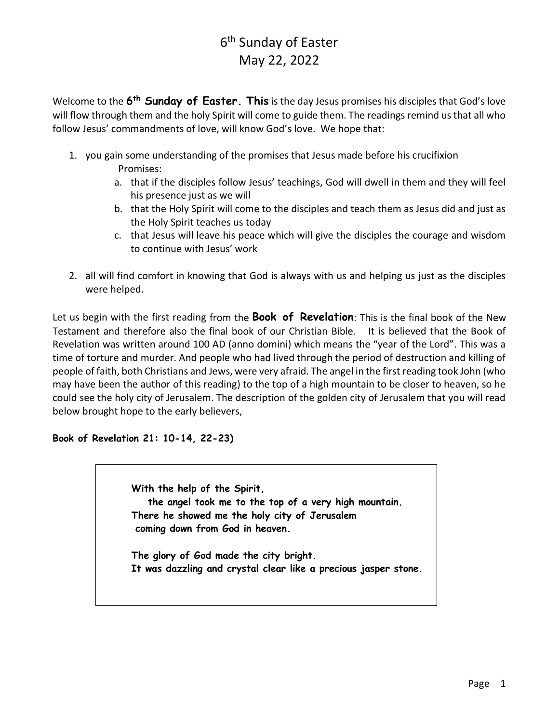Welcome to the 6<sup>th</sup> Sunday of Easter. This is the day Jesus promises his disciples that God's love will flow through them and the holy Spirit will come to guide them. The readings remind us that all who follow Jesus' commandments of love, will know God's love. We hope that:

- 1. you gain some understanding of the promises that Jesus made before his crucifixion Promises:
	- a. that if the disciples follow Jesus' teachings, God will dwell in them and they will feel his presence just as we will
	- b. that the Holy Spirit will come to the disciples and teach them as Jesus did and just as the Holy Spirit teaches us today
	- c. that Jesus will leave his peace which will give the disciples the courage and wisdom to continue with Jesus' work
- 2. all will find comfort in knowing that God is always with us and helping us just as the disciples were helped.

Let us begin with the first reading from the **Book of Revelation**: This is the final book of the New Testament and therefore also the final book of our Christian Bible. It is believed that the Book of Revelation was written around 100 AD (anno domini) which means the "year of the Lord". This was a time of torture and murder. And people who had lived through the period of destruction and killing of people of faith, both Christians and Jews, were very afraid. The angel in the first reading took John (who may have been the author of this reading) to the top of a high mountain to be closer to heaven, so he could see the holy city of Jerusalem. The description of the golden city of Jerusalem that you will read below brought hope to the early believers,

#### Book of Revelation 21: 10-14, 22-23)

With the help of the Spirit, the angel took me to the top of a very high mountain. There he showed me the holy city of Jerusalem coming down from God in heaven.

The glory of God made the city bright. It was dazzling and crystal clear like a precious jasper stone.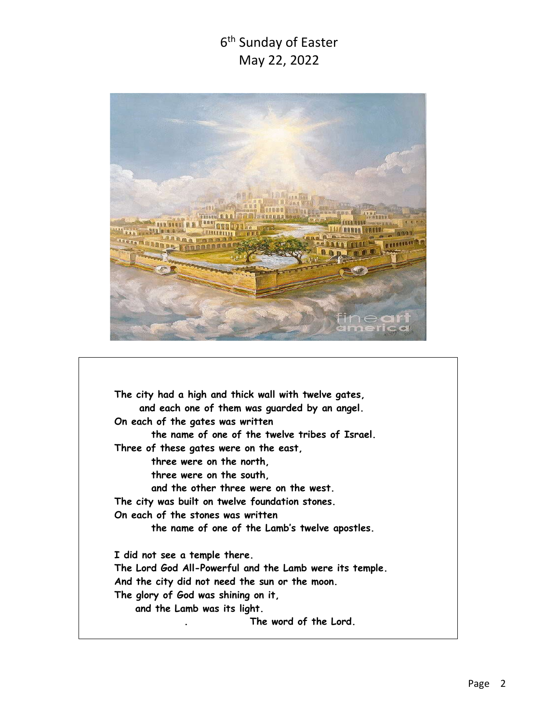

The city had a high and thick wall with twelve gates, and each one of them was guarded by an angel. On each of the gates was written the name of one of the twelve tribes of Israel. Three of these gates were on the east, three were on the north, three were on the south, and the other three were on the west. The city was built on twelve foundation stones. On each of the stones was written the name of one of the Lamb's twelve apostles. I did not see a temple there. The Lord God All-Powerful and the Lamb were its temple. And the city did not need the sun or the moon. The glory of God was shining on it, and the Lamb was its light. . The word of the Lord.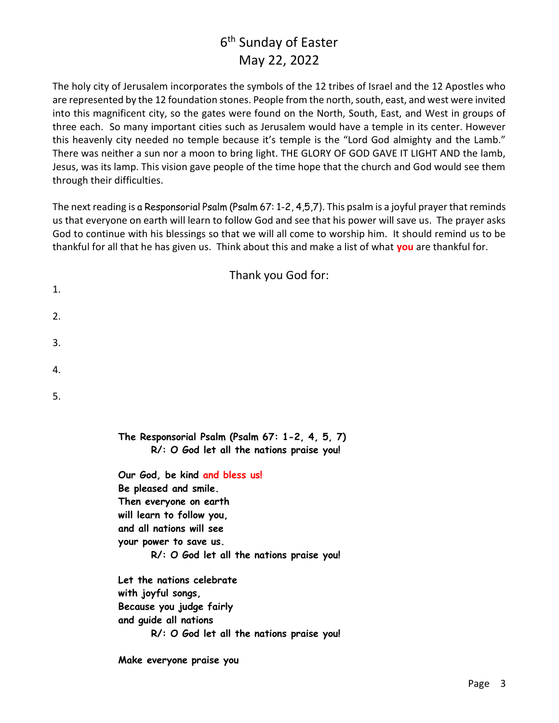The holy city of Jerusalem incorporates the symbols of the 12 tribes of Israel and the 12 Apostles who are represented by the 12 foundation stones. People from the north, south, east, and west were invited into this magnificent city, so the gates were found on the North, South, East, and West in groups of three each. So many important cities such as Jerusalem would have a temple in its center. However this heavenly city needed no temple because it's temple is the "Lord God almighty and the Lamb." There was neither a sun nor a moon to bring light. THE GLORY OF GOD GAVE IT LIGHT AND the lamb, Jesus, was its lamp. This vision gave people of the time hope that the church and God would see them through their difficulties.

The next reading is a Responsorial Psalm (Psalm 67: 1-2, 4,5,7). This psalm is a joyful prayer that reminds us that everyone on earth will learn to follow God and see that his power will save us. The prayer asks God to continue with his blessings so that we will all come to worship him. It should remind us to be thankful for all that he has given us. Think about this and make a list of what you are thankful for.

|    | Thank you God for:                                                                                                                                                                                                |
|----|-------------------------------------------------------------------------------------------------------------------------------------------------------------------------------------------------------------------|
| 1. |                                                                                                                                                                                                                   |
| 2. |                                                                                                                                                                                                                   |
| 3. |                                                                                                                                                                                                                   |
| 4. |                                                                                                                                                                                                                   |
| 5. |                                                                                                                                                                                                                   |
|    | The Responsorial Psalm (Psalm 67: 1-2, 4, 5, 7)<br>R/: O God let all the nations praise you!                                                                                                                      |
|    | Our God, be kind and bless us!<br>Be pleased and smile.<br>Then everyone on earth<br>will learn to follow you,<br>and all nations will see<br>your power to save us.<br>R/: O God let all the nations praise you! |
|    | Let the nations celebrate<br>with joyful songs,                                                                                                                                                                   |
|    | Because you judge fairly                                                                                                                                                                                          |

and guide all nations

R/: O God let all the nations praise you!

Make everyone praise you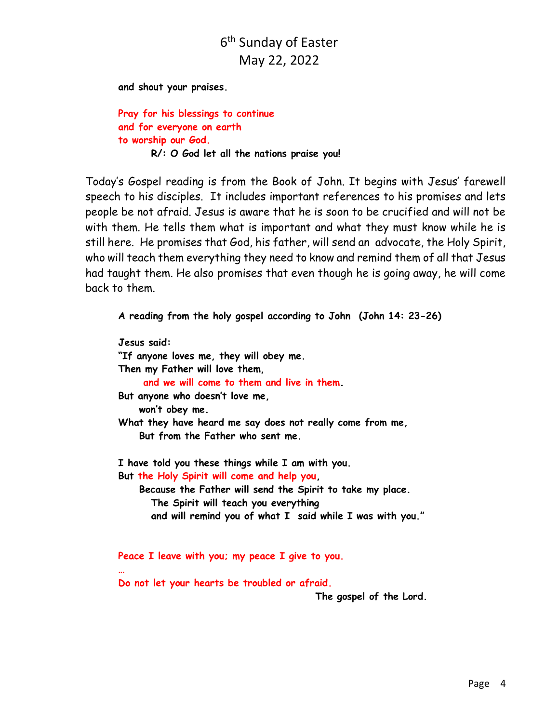and shout your praises.

Pray for his blessings to continue and for everyone on earth to worship our God. R/: O God let all the nations praise you!

Today's Gospel reading is from the Book of John. It begins with Jesus' farewell speech to his disciples. It includes important references to his promises and lets people be not afraid. Jesus is aware that he is soon to be crucified and will not be with them. He tells them what is important and what they must know while he is still here. He promises that God, his father, will send an advocate, the Holy Spirit, who will teach them everything they need to know and remind them of all that Jesus had taught them. He also promises that even though he is going away, he will come back to them.

A reading from the holy gospel according to John (John 14: 23-26)

Jesus said: "If anyone loves me, they will obey me. Then my Father will love them, and we will come to them and live in them. But anyone who doesn't love me, won't obey me. What they have heard me say does not really come from me, But from the Father who sent me. I have told you these things while I am with you. But the Holy Spirit will come and help you, Because the Father will send the Spirit to take my place. The Spirit will teach you everything and will remind you of what I said while I was with you."

Peace I leave with you; my peace I give to you.

Do not let your hearts be troubled or afraid.

…

The gospel of the Lord.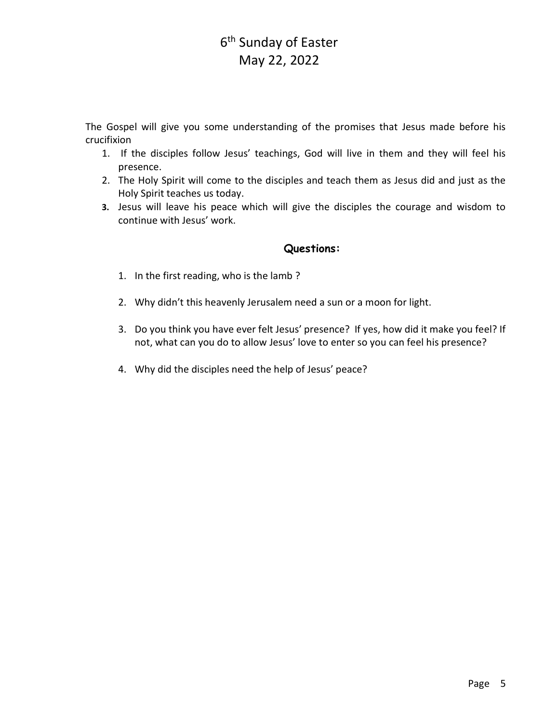The Gospel will give you some understanding of the promises that Jesus made before his crucifixion

- 1. If the disciples follow Jesus' teachings, God will live in them and they will feel his presence.
- 2. The Holy Spirit will come to the disciples and teach them as Jesus did and just as the Holy Spirit teaches us today.
- 3. Jesus will leave his peace which will give the disciples the courage and wisdom to continue with Jesus' work.

#### Questions:

- 1. In the first reading, who is the lamb ?
- 2. Why didn't this heavenly Jerusalem need a sun or a moon for light.
- 3. Do you think you have ever felt Jesus' presence? If yes, how did it make you feel? If not, what can you do to allow Jesus' love to enter so you can feel his presence?
- 4. Why did the disciples need the help of Jesus' peace?